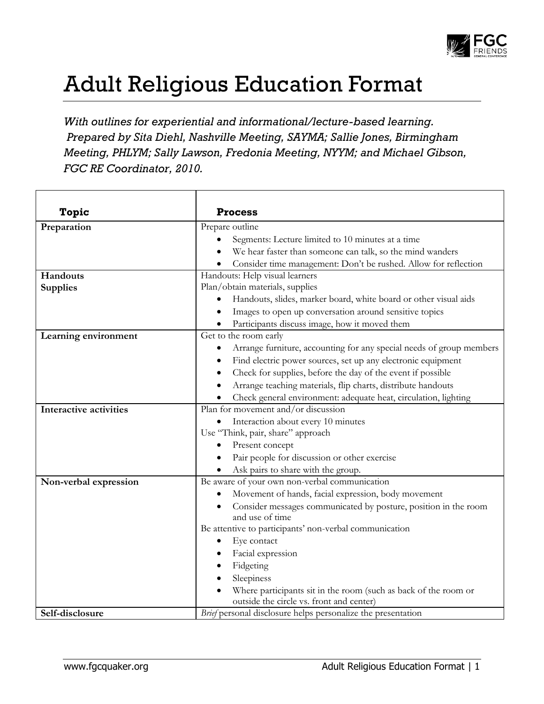

## Adult Religious Education Format

*With outlines for experiential and informational/lecture-based learning. Prepared by Sita Diehl, Nashville Meeting, SAYMA; Sallie Jones, Birmingham Meeting, PHLYM; Sally Lawson, Fredonia Meeting, NYYM; and Michael Gibson, FGC RE Coordinator, 2010.*

| <b>Topic</b>                  | <b>Process</b>                                                                                              |
|-------------------------------|-------------------------------------------------------------------------------------------------------------|
| Preparation                   | Prepare outline                                                                                             |
|                               | Segments: Lecture limited to 10 minutes at a time                                                           |
|                               | We hear faster than someone can talk, so the mind wanders                                                   |
|                               | Consider time management: Don't be rushed. Allow for reflection                                             |
| Handouts                      | Handouts: Help visual learners                                                                              |
| <b>Supplies</b>               | Plan/obtain materials, supplies                                                                             |
|                               | Handouts, slides, marker board, white board or other visual aids                                            |
|                               | Images to open up conversation around sensitive topics                                                      |
|                               | Participants discuss image, how it moved them                                                               |
| Learning environment          | Get to the room early                                                                                       |
|                               | Arrange furniture, accounting for any special needs of group members<br>٠                                   |
|                               | Find electric power sources, set up any electronic equipment<br>٠                                           |
|                               | Check for supplies, before the day of the event if possible<br>٠                                            |
|                               | Arrange teaching materials, flip charts, distribute handouts                                                |
|                               | Check general environment: adequate heat, circulation, lighting                                             |
| <b>Interactive activities</b> | Plan for movement and/or discussion                                                                         |
|                               | Interaction about every 10 minutes<br>٠                                                                     |
|                               | Use "Think, pair, share" approach                                                                           |
|                               | Present concept                                                                                             |
|                               | Pair people for discussion or other exercise<br>$\bullet$                                                   |
|                               | Ask pairs to share with the group.                                                                          |
| Non-verbal expression         | Be aware of your own non-verbal communication                                                               |
|                               | Movement of hands, facial expression, body movement                                                         |
|                               | Consider messages communicated by posture, position in the room<br>$\bullet$                                |
|                               | and use of time                                                                                             |
|                               | Be attentive to participants' non-verbal communication                                                      |
|                               | Eye contact<br>٠                                                                                            |
|                               | Facial expression                                                                                           |
|                               | Fidgeting<br>٠                                                                                              |
|                               | Sleepiness<br>$\bullet$                                                                                     |
|                               | Where participants sit in the room (such as back of the room or<br>outside the circle vs. front and center) |
| Self-disclosure               |                                                                                                             |
|                               | Brief personal disclosure helps personalize the presentation                                                |